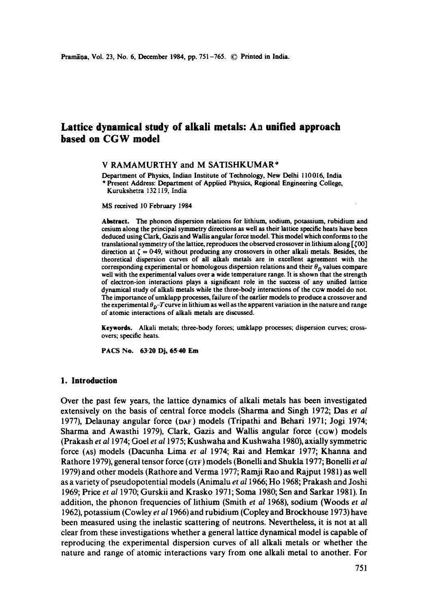# **Lattice dynamical study of alkali metals: Aa unified approach based on CGW model**

#### V RAMAMURTHY and M SATISHKUMAR\*

Department of Physics, Indian Institute of Technology, New Delhi 110016, India \* Present Address: Department of Applied Physics, Regional Engineering College, Kurukshetra 132119, India

MS received 10 February 1984

Abstract. The phonon dispersion relations for lithium, sodium, potassium, rubidium and cesium along the principal symmetry directions as well as their lattice specific heats have been deduced using Clark, Gazis and Wallis angular force model. This model which conforms to the translational symmetry of the lattice, reproduces the observed crossover in lithium along  $[500]$ direction at  $\zeta = 0.49$ , without producing any crossovers in other alkali metals. Besides, the theoretical dispersion curves of all alkali metals are in excellent agreement with the corresponding experimental or homologous dispersion relations and their  $\theta_D$  values compare well with the experimental values over a wide temperature range. It is shown that the strength of eleetron-ion interactions plays a significant role in the success of any unified lattice dynamical study of alkali metals while the three-body interactions of the cGw model do not. The importance of umklapp processes, failure of the earlier models to produce a crossover and the experimental  $\theta_p$ -*T* curve in lithium as well as the apparent variation in the nature and range of atomic interactions of alkali metals are discussed.

**Keywords.** Alkali metals; three-body forces; umklapp processes; dispersion curves; crossovers; specific heats.

**PACS No. 63'20 Dj, 65'40 Em** 

## **1. Introduction**

Over the past few years, the lattice dynamics of alkali metals has been investigated extensively on the basis of central force models (Sharma and Singh 1972; Das *et al*  1977), Delaunay angular force (DA~) models (Tripathi and Behari 1971; Jogi 1974; Sharma and Awasthi 1979), Clark, Gazis and Wallis angular force (cow) models (Prakash *et a11974;* Goel *et a11975;* Kushwaha and Kushwaha 1980), axially symmetric force (AS) models (Dacunha Lima *et al* 1974; Rai and Hemkar 1977; Khanna and Rathore 1979), general tensor force (GTF) models (Bonelli and Shukla 1977; Bonelli *et al* 1979) and other models (Rathore and Verma 1977; Ramji Rao and Rajput 1981) as well as a variety of pseudopotential models (Animalu *et a11966;* Ho 1968; Prakash and Joshi 1969; Price *et al* 1970; Gurskii and Krasko 1971; Soma 1980; Sen and Sarkar 1981). In addition, the phonon frequencies of lithium (Smith *et al* 1968), sodium (Woods *et al*  1962), potassium (Cowley *et al* 1966) and rubidium (Copley and Brockhouse 1973) have been measured using the inelastic scattering of neutrons. Nevertheless, it is not at all clear from these investigations whether a general lattice dynamical model is capable of reproducing the experimental dispersion curves of all alkali metals or whether the nature and range of atomic interactions vary from one alkali metal to another. For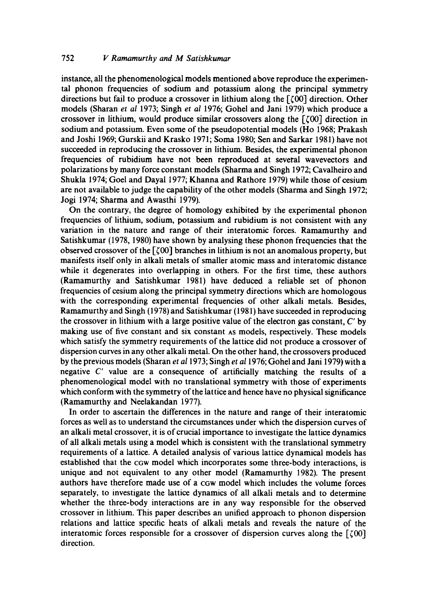instance, all the phenomenological models mentioned above reproduce the experimental phonon frequencies of sodium and potassium along the principal symmetry directions but fail to produce a crossover in lithium along the  $[00]$  direction. Other models (Sharan *et al* 1973; Singh *et al* 1976; Gohel and Jani 1979) which produce a crossover in lithium, would produce similar crossovers along the  $[0.00]$  direction in sodium and potassium. Even some of the pseudopotential models (Ho 1968; Prakash and Joshi 1969; Gurskii and Krasko 1971; Soma 1980; Sen and Sarkar 1981) have not succeeded in reproducing the crossover in lithium. Besides, the experimental phonon frequencies of rubidium have not been reproduced at several wavevectors and polarizations by many force constant models (Sharma and Singh 1972; Cavalheiro and Shukla 1974; Goel and Dayal 1977; Khanna and Rathore 1979) while those of cesium are not available to judge the capability of the other models (Sharma and Singh 1972; Jogi 1974; Sharma and Awasthi 1979).

On the contrary, the degree of homology exhibited by the experimental phonon frequencies of lithium, sodium, potassium and rubidium is not consistent with any variation in the nature and range of their interatomic forces. Ramamurthy and Satishkumar (1978, 1980) have shown by analysing these phonon frequencies that the observed crossover of the  $\lceil \zeta 00 \rceil$  branches in lithium is not an anomalous property, but manifests itself only in alkali metals of smaller atomic mass and interatomic distance while it degenerates into overlapping in others. For the first time, these authors (Ramamurthy and Satishkumar 1981) have deduced a reliable set of phonon frequencies of cesium along the principal symmetry directions which are homologous with the corresponding experimental frequencies of other alkali metals. Besides, Ramamurthy and Singh (1978) and Satishkumar (1981 ) have succeeded in reproducing the crossover in lithium with a large positive value of the electron gas constant,  $C'$  by making use of five constant and six constant As models, respectively. These models which satisfy the symmetry requirements of the lattice did not produce a crossover of dispersion curves in any other alkali metal. On the other hand, the crossovers produced by the previous models (Sharan *et a11973;* Singh *et a11976;* Gohel and Jani 1979) with a negative  $C'$  value are a consequence of artificially matching the results of a phenomenological model with no translational symmetry with those of experiments which conform with the symmetry of the lattice and hence have no physical significance (Ramamurthy and Neelakandan 1977).

In order to ascertain the differences in the nature and range of their interatomic forces as well as to understand the circumstances under which the dispersion curves of an alkali metal crossover, it is of crucial importance to investigate the lattice dynamics of all alkali metals using a model which is consistent with the translational symmetry requirements of a lattice. A detailed analysis of various lattice dynamical models has established that the CGW model which incorporates some three-body interactions, is unique and not equivalent to any other model (Ramamurthy 1982). The present authors have therefore made use of a cGw model which includes the volume forces separately, to investigate the lattice dynamics of all alkali metals and to determine whether the three-body interactions are in any way responsible for the observed crossover in lithium. This paper describes an unified approach to phonon dispersion relations and lattice specific heats of alkali metals and reveals the nature of the interatomic forces responsible for a crossover of dispersion curves along the  $[000]$ direction.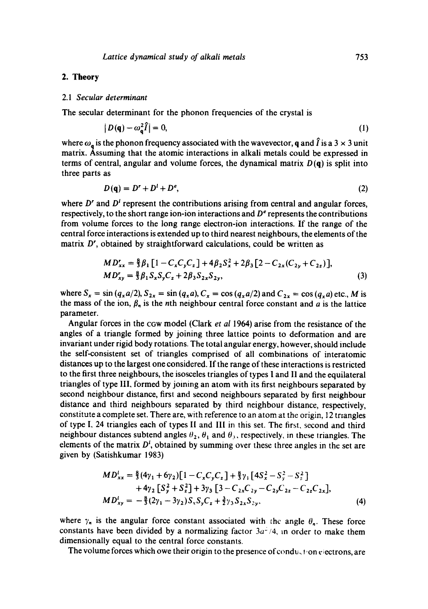## **2. Theory**

#### 2.1 *Secular determinant*

The secular determinant for the phonon frequencies of the crystal is

$$
|D(\mathbf{q}) - \omega_{\mathbf{q}}^2 \hat{I}| = 0,\tag{1}
$$

where  $\omega_q$  is the phonon frequency associated with the wavevector, q and  $\hat{I}$  is a 3  $\times$  3 unit matrix. Assuming that the atomic interactions in alkali metals could be expressed in terms of central, angular and volume forces, the dynamical matrix  $D(q)$  is split into three parts as

$$
D(\mathbf{q}) = D^r + D^l + D^e,\tag{2}
$$

where  $D'$  and  $D'$  represent the contributions arising from central and angular forces, respectively, to the short range ion-ion interactions and  $D<sup>e</sup>$  represents the contributions from volume forces to the long range electron-ion interactions. If the range of the central force interactions is extended up to third nearest neighbours, the elements of the matrix D', obtained by straightforward calculations, could be written as

$$
MD'_{xx} = \frac{8}{3}\beta_1 [1 - C_x C_y C_z] + 4\beta_2 S_x^2 + 2\beta_3 [2 - C_{2x}(C_{2y} + C_{2z})],
$$
  
\n
$$
MD'_{xy} = \frac{8}{3}\beta_1 S_x S_y C_z + 2\beta_3 S_{2x} S_{2y},
$$
\n(3)

where  $S_x = \sin (q_x a/2)$ ,  $S_{2x} = \sin (q_x a)$ ,  $C_x = \cos (q_x a/2)$  and  $C_{2x} = \cos (q_x a)$  etc., M is the mass of the ion,  $\beta_n$  is the nth neighbour central force constant and a is the lattice parameter.

Angular forces in the cow model (Clark *et al* 1964) arise from the resistance of the angles of a triangle formed by joining three lattice points to deformation and are invariant under rigid body rotations. The total angular energy, however, should include the self-consistent set of triangles comprised of all combinations of interatomic distances up to the largest one considered. If the range of these interactions is restricted to the first three neighbours, the isosceles triangles of types I and II and the equilateral triangles of type III, formed by joining an atom with its first neighbours separated by second neighbour distance, first and second neighbours separated by first neighbour distance and third neighbours separated by third neighbour distance, respectively, constitute a complete set. There are, with reference to an atom at the origin, 12 triangles of type I, 24 triangles each of types II and III in this set. The first, second and third neighbour distances subtend angles  $\theta_2$ ,  $\theta_1$  and  $\theta_3$ , respectively, in these triangles. The elements of the matrix  $D^1$ , obtained by summing over these three angles in the set are given by (Satishkumar 1983)

$$
MD_{xx}^{l} = \frac{8}{3}(4\gamma_{1} + 6\gamma_{2})[1 - C_{x}C_{y}C_{z}] + \frac{8}{3}\gamma_{1}[4S_{x}^{2} - S_{y}^{2} - S_{z}^{2}] + 4\gamma_{2}[S_{y}^{2} + S_{z}^{2}] + 3\gamma_{3}[3 - C_{2x}C_{2y} - C_{2y}C_{2z} - C_{2z}C_{2x}],
$$
  
\n
$$
MD_{xy}^{l} = -\frac{8}{3}(2\gamma_{1} - 3\gamma_{2})S_{x}S_{y}C_{z} + \frac{3}{2}\gamma_{3}S_{2x}S_{2y},
$$
\n(4)

where  $\gamma_n$  is the angular force constant associated with the angle  $\theta_n$ . These force constants have been divided by a normalizing factor  $3a^2/4$ , in order to make them dimensionally equal to the central force constants.

The volume forces which owe their origin to the presence of condu, the exectrons, are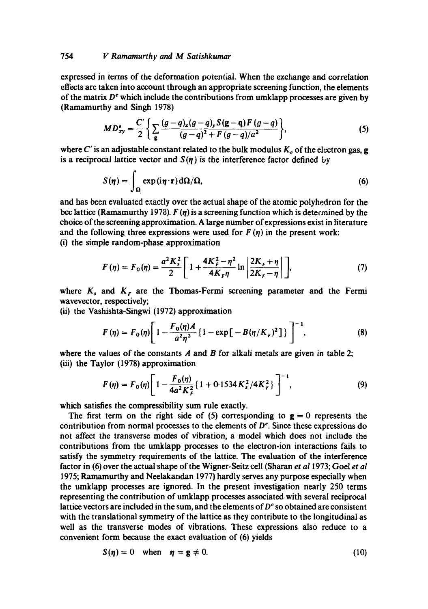## 754 *V Ramamurthy and M Satishkumar*

expressed in terms of the deformation potential. When the exchange and correlation effects are taken into account through an appropriate screening function, the elements of the matrix  $D<sup>e</sup>$  which include the contributions from umklapp processes are given by (Ramamurthy and Singh 1978)

$$
MD_{xy}^{e} = \frac{C'}{2} \left\{ \sum_{g} \frac{(g-q)_x(g-q)_y S(g-q) F(g-q)}{(g-q)^2 + F(g-q)/a^2} \right\},
$$
(5)

where C' is an adjustable constant related to the bulk modulus  $K_e$  of the electron gas, g is a reciprocal lattice vector and  $S(\eta)$  is the interference factor defined by

$$
S(\eta) = \int_{\Omega} \exp(i\eta \cdot \mathbf{r}) d\Omega / \Omega, \tag{6}
$$

and has been evaluated exactly over the actual shape of the atomic polyhedron for the bcc lattice (Ramamurthy 1978).  $F(\eta)$  is a screening function which is determined by the choice of the screening approximation. A large number of expressions exist in literature and the following three expressions were used for  $F(\eta)$  in the present work: **(i)** the simple random-phase approximation

$$
F(\eta) = F_0(\eta) = \frac{a^2 K_s^2}{2} \left[ 1 + \frac{4K_F^2 - \eta^2}{4K_F \eta} \ln \left| \frac{2K_F + \eta}{2K_F - \eta} \right| \right],\tag{7}
$$

where  $K_s$  and  $K_s$  are the Thomas-Fermi screening parameter and the Fermi wavevector, respectively;

(ii) the Vashishta-Singwi (1972) approximation

$$
F(\eta) = F_0(\eta) \left[ 1 - \frac{F_0(\eta)A}{a^2 \eta^2} \left\{ 1 - \exp\left[ -B(\eta/K_F)^2 \right] \right\} \right]^{-1},
$$
 (8)

where the values of the constants  $A$  and  $B$  for alkali metals are given in table 2; (iii) the Taylor (1978) approximation

$$
F(\eta) = F_0(\eta) \left[ 1 - \frac{F_0(\eta)}{4a^2 K_f^2} \left\{ 1 + 0.1534 K_s^2 / 4K_f^2 \right\} \right]^{-1},
$$
\n(9)

which satisfies the compressibility sum rule exactly.

The first term on the right side of (5) corresponding to  $g = 0$  represents the contribution from normal processes to the elements of  $D<sup>e</sup>$ . Since these expressions do not affect the transverse modes of vibration, a model which does not include the contributions from the umklapp processes to the electron-ion interactions fails to satisfy the symmetry requirements of the lattice. The evaluation of the interference factor in (6) over the actual shape of the Wigner-Seitz cell (Sharan *et a11973;* Goel *et al*  1975; Ramamurthy and Neelakandan 1977) hardly serves any purpose especially when the umklapp processes are ignored. In the present investigation nearly 250 terms representing the contribution of umklapp processes associated with several reciprocal lattice vectors are included in the sum, and the elements of  $D<sup>e</sup>$  so obtained are consistent with the translational symmetry of the lattice as they contribute to the longitudinal as well as the transverse modes of vibrations. These expressions also reduce to a convenient form because the exact evaluation of (6) yields

$$
S(\eta) = 0 \quad \text{when} \quad \eta = g \neq 0. \tag{10}
$$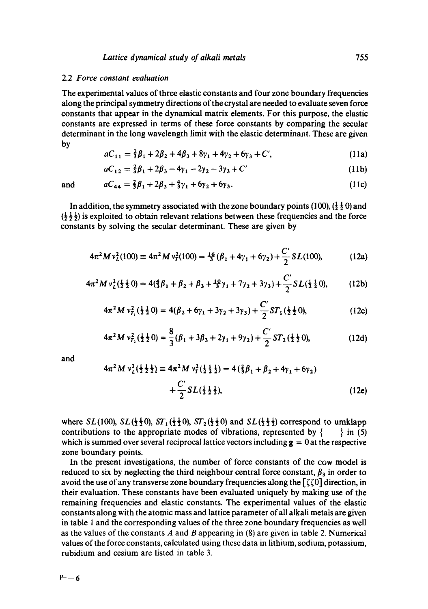#### 2.2 *Force constant evaluation*

The experimental values of three elastic constants and four zone boundary frequencies along the principal symmetry directions of the crystal are needed to evaluate seven force constants that appear in the dynamical matrix elements. For this purpose, the elastic constants are expressed in terms of these force constants by comparing the secular determinant in the long wavelength limit with the elastic determinant. These are given by

$$
aC_{11} = \frac{2}{3}\beta_1 + 2\beta_2 + 4\beta_3 + 8\gamma_1 + 4\gamma_2 + 6\gamma_3 + C',
$$
 (11a)

$$
aC_{12} = \frac{2}{3}\beta_1 + 2\beta_3 - 4\gamma_1 - 2\gamma_2 - 3\gamma_3 + C'
$$
 (11b)

and 
$$
aC_{44} = \frac{2}{3}\beta_1 + 2\beta_3 + \frac{4}{3}\gamma_1 + 6\gamma_2 + 6\gamma_3.
$$
 (11c)

In addition, the symmetry associated with the zone boundary points (100),  $(\frac{1}{2}, \frac{1}{2})$  and  $(\frac{1}{2}, \frac{1}{2})$  is exploited to obtain relevant relations between these frequencies and the force constants by solving the secular determinant. These are given by

$$
4\pi^2 M v_L^2(100) \equiv 4\pi^2 M v_T^2(100) = \frac{16}{3} (\beta_1 + 4\gamma_1 + 6\gamma_2) + \frac{C'}{2} SL(100), \tag{12a}
$$

$$
4\pi^2 M v_L^2(\frac{1}{2}\frac{1}{2}0) = 4(\frac{4}{3}\beta_1 + \beta_2 + \beta_3 + \frac{10}{3}\gamma_1 + 7\gamma_2 + 3\gamma_3) + \frac{C'}{2} SL(\frac{1}{2}\frac{1}{2}0),
$$
 (12b)

$$
4\pi^2 M v_{T_1}^2(\frac{1}{2}\frac{1}{2}0) = 4(\beta_2 + 6\gamma_1 + 3\gamma_2 + 3\gamma_3) + \frac{C'}{2} ST_1(\frac{1}{2}\frac{1}{2}0),
$$
 (12c)

$$
4\pi^2 M v_{r_1}^2(\frac{1}{2}\frac{1}{2}0) = \frac{8}{3}(\beta_1 + 3\beta_3 + 2\gamma_1 + 9\gamma_2) + \frac{C'}{2}ST_2(\frac{1}{2}\frac{1}{2}0),
$$
 (12d)

and

$$
4\pi^2 M v_L^2(\frac{1}{2}\frac{1}{2}\frac{1}{2}) = 4\pi^2 M v_T^2(\frac{1}{2}\frac{1}{2}\frac{1}{2}) = 4(\frac{2}{3}\beta_1 + \beta_2 + 4\gamma_1 + 6\gamma_2)
$$
  
+ 
$$
\frac{C'}{2} SL(\frac{1}{2}\frac{1}{2}\frac{1}{2}),
$$
 (12e)

where  $SL(100)$ ,  $SL(\frac{1}{2}\frac{1}{2}0)$ ,  $ST_1(\frac{1}{2}\frac{1}{2}0)$ ,  $ST_2(\frac{1}{2}\frac{1}{2}0)$  and  $SL(\frac{1}{2}\frac{1}{2}\frac{1}{2})$  correspond to umklapp contributions to the appropriate modes of vibrations, represented by  $\{\ \}$  in (5) which is summed over several reciprocal lattice vectors including  $g = 0$  at the respective zone boundary points.

In the present investigations, the number of force constants of the cow model is reduced to six by neglecting the third neighbour central force constant,  $\beta_3$  in order to avoid the use of any transverse zone boundary frequencies along the  $\lceil \zeta \zeta 0 \rceil$  direction, in their evaluation. These constants have been evaluated uniquely by making use of the remaining frequencies and elastic constants. The experimental values of the elastic constants along with the atomic mass and lattice parameter of all alkali metals are given in table I and the corresponding values of the three zone boundary frequencies as well as the values of the constants A and B appearing in  $(8)$  are given in table 2. Numerical values of the force constants, calculated using these data in lithium, sodium, potassium, rubidium and cesium are listed in table 3.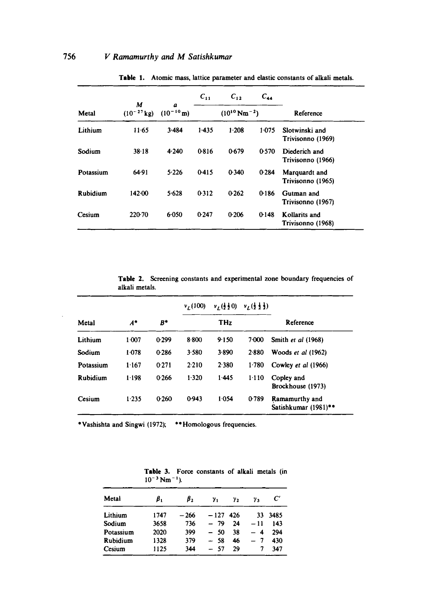|           |                      |                     | $C_{11}$ | $C_{12}$            | $C_{44}$ |                                     |  |
|-----------|----------------------|---------------------|----------|---------------------|----------|-------------------------------------|--|
| Metal     | М<br>$(10^{-27}$ kg) | a<br>$(10^{-10} m)$ |          | $(10^{10} Nm^{-2})$ |          | Reference                           |  |
| Lithium   | 11.65                | 3.484               | $1-435$  | $1-208$             | 1.075    | Slotwinski and<br>Trivisonno (1969) |  |
| Sodium    | 38.18                | 4.240               | 0.816    | 0.679               | 0.570    | Diederich and<br>Trivisonno (1966)  |  |
| Potassium | 64.91                | 5.226               | 0.415    | 0.340               | 0.284    | Marquardt and<br>Trivisonno (1965)  |  |
| Rubidium  | 142.00               | 5.628               | 0.312    | 0.262               | 0.186    | Gutman and<br>Trivisonno (1967)     |  |
| Cesium    | $220-70$             | 6.050               | 0.247    | 0.206               | 0.148    | Kollarits and<br>Trivisonno (1968)  |  |

Table 1. Atomic mass, lattice parameter and elastic constants of alkali metals.

Table 2. Screening constants and experimental zone boundary frequencies of alkali metals.

|           |       | B*    | $v_r(100)$ | $v_L(\frac{1}{2}\frac{1}{2}0)$ | $v_1(\frac{1}{2},\frac{1}{2})$ |                                        |
|-----------|-------|-------|------------|--------------------------------|--------------------------------|----------------------------------------|
| Metal     | $A^*$ |       |            | THz.                           |                                | Reference                              |
| Lithium   | 1 007 | 0.299 | 8.800      | 9.150                          | 7.000                          | Smith et al (1968)                     |
| Sodium    | 1.078 | 0.286 | 3.580      | 3.890                          | 2.880                          | Woods $et$ al $(1962)$                 |
| Potassium | 1.167 | 0.271 | 2.210      | 2 3 8 0                        | $1-780$                        | Cowley et al (1966)                    |
| Rubidium  | 1.198 | 0.266 | 1.320      | 1.445                          | 1.110                          | Copley and<br>Brockhouse (1973)        |
| Cesium    | 1.235 | 0.260 | 0.943      | 1.054                          | 0.789                          | Ramamurthy and<br>Satishkumar (1981)** |

\*Vashishta and Singwi (1972); \*\*Homologous frequencies.

|           | $10^{-3}$ Nm <sup>-1</sup> ). |       |        |     |     |           |
|-----------|-------------------------------|-------|--------|-----|-----|-----------|
| Metal     | β,                            | β,    | γ,     | γ2  | γ,  | $\bm{C}'$ |
| Lithium   | 1747                          | - 266 | $-127$ | 426 | 33. | 3485      |
| Sodium    | 3658                          | 736   | - 79   | 24  | -11 | 143       |
| Potassium | 2020                          | 399   | $-50$  | 38  | 4   | 294       |
| Rubidium  | 1328                          | 379   | $-58$  | 46  | 7   | 430       |
| Cesium    | 1125                          | 344   | $-57$  | 29  | 7   | 347       |

Table 3. Force constants of alkali metals (in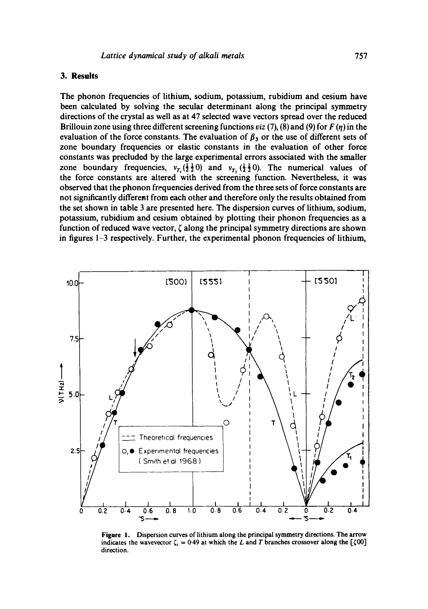## **3. Results**

The phonon frequencies of lithium, sodium, potassium, rubidium and cesium have been calculated by solving the secular determinant along the principal symmetry directions of the crystal as well as at 47 selected wave vectors spread over the reduced Brillouin zone using three different screening functions *viz* (7), (8) and (9) for  $F(\eta)$  in the evaluation of the force constants. The evaluation of  $\beta_3$  or the use of different sets of zone boundary frequencies or elastic constants in the evaluation of other force constants was precluded by the large experimental errors associated with the smaller zone boundary frequencies,  $v_{T_1}(\frac{1}{2}\frac{1}{2}0)$  and  $v_{T_2}(\frac{1}{2}\frac{1}{2}0)$ . The numerical values of the force constants are altered with the screening function. Nevertheless, it was observed that the phonon frequencies derived from the three sets of force constants are not significantly different from each other and therefore only the results obtained from the set shown in table 3 are presented here. The dispersion curves of lithium, sodium, potassium, rubidium and cesium obtained by plotting their phonon frequencies as a function of reduced wave vector,  $\zeta$  along the principal symmetry directions are shown in figures 1-3 respectively. Further, the experimental phonon frequencies of lithium,



**Figure** 1. Dispersion curves of lithium along the principal symmetry directions. The arrow indicates the wavevector  $\zeta_c = 0.49$  at which the L and T branches crossover along the [ $\zeta$ 00] direction.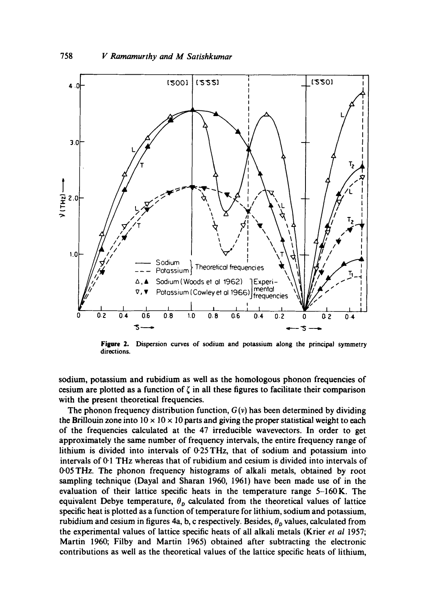

Figure 2. Dispersion curves of sodium and potassium along the principal symmetry directions.

sodium, potassium and rubidium as well as the homologous phonon frequencies of cesium are plotted as a function of  $\zeta$  in all these figures to facilitate their comparison with the present theoretical frequencies.

The phonon frequency distribution function,  $G(v)$  has been determined by dividing the Brillouin zone into  $10 \times 10 \times 10$  parts and giving the proper statistical weight to each of the frequencies calculated at the 47 irreducible wavevectors. In order to get approximately the same number of frequency intervals, the entire frequency range of lithium is divided into intervals of 0-25 THz, that of sodium and potassium into intervals of 0.1 THz whercas that of rubidium and cesium is divided into intervals of 0.05THz. The phonon frequency histograms of alkali metals, obtained by root sampling technique (Dayal and Sharan 1960, 1961) have been made use of in the evaluation of their lattice specific heats in the temperature range 5-160K. The equivalent Debye temperature,  $\theta_p$  calculated from the theoretical values of lattice specific heat is plotted as a function of temperature for lithium, sodium and potassium, rubidium and cesium in figures 4a, b, c respectively. Besides,  $\theta_p$  values, calculated from the experimental values of lattice specific heats of all alkali metals (Krier *et al* 1957; Martin 1960; Filby and Martin 1965) obtained after subtracting the electronic contributions as well as the theoretical values of the lattice specific heats of lithium,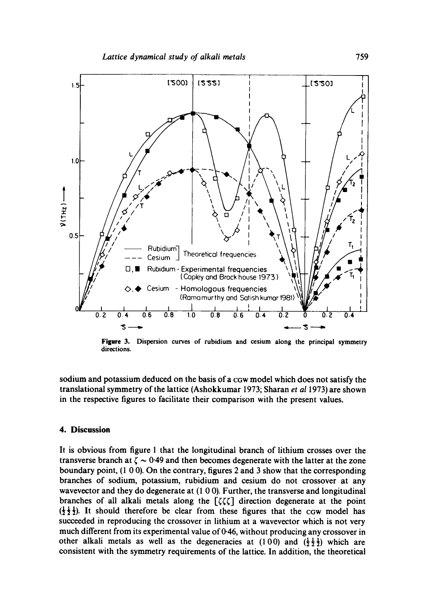

**Figure** 3. Dispersion curves of rubidium and cesium along the principal symmetry directions.

sodium and potassium deduced on the basis of a cGw model which does not satisfy the translational symmetry of the lattice (Ashokkumar 1973; Sharan *et a11973)* are shown in the respective figures to facilitate their comparison with the present values.

# **4. Discussion**

It is obvious from figure 1 that the longitudinal branch of lithium crosses over the transverse branch at  $\zeta \sim 0.49$  and then becomes degenerate with the latter at the zone boundary point, (1 0 0). On the contrary, figures 2 and 3 show that the corresponding branches of sodium, potassium, rubidium and cesium do not crossover at any wavevector and they do degenerate at (1 0 0). Further, the transverse and longitudinal branches of all alkali metals along the  $[\zeta \zeta \zeta]$  direction degenerate at the point  $(\frac{1}{2}, \frac{1}{2})$ . It should therefore be clear from these figures that the cow model has succeeded in reproducing the crossover in lithium at a wavevector which is not very much different from its experimental value of 0.46, without producing any crossover in other alkali metals as well as the degeneracies at (100) and  $(\frac{1}{2}, \frac{1}{2})$  which are consistent with the symmetry requirements of the lattice. In addition, the theoretical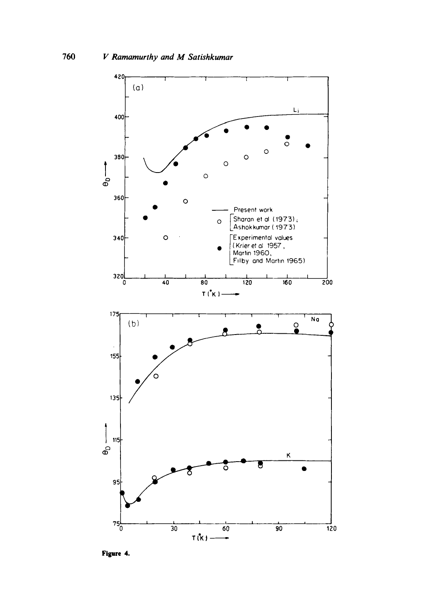

**Figure 4.**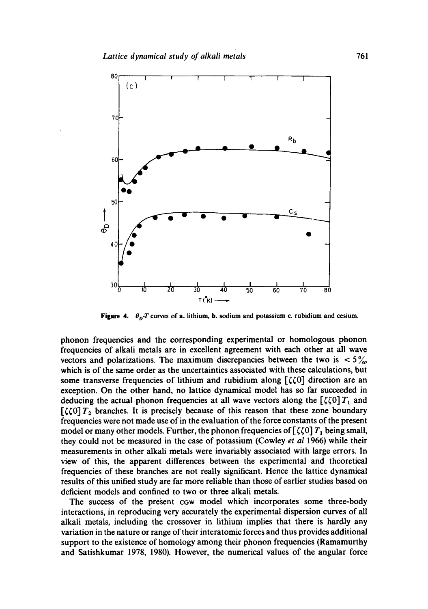

**Figure 4.**  $\theta_p$ -T curves of a. lithium, **b.** sodium and potassium c. rubidium and cesium.

phonon frequencies and the corresponding experimental or homologous phonon frequencies of alkali metals are in excellent agreement with each other at all wave vectors and polarizations. The maximum discrepancies between the two is  $\langle 5\frac{\%}{\%} \rangle$ which is of the same order as the uncertainties associated with these calculations, but some transverse frequencies of lithium and rubidium along  $[\zeta \zeta 0]$  direction are an exception. On the other hand, no lattice dynamical model has so far succeeded in deducing the actual phonon frequencies at all wave vectors along the  $\left[\zeta(0) T_1\right]$  and  $[\zeta(0)T_2]$  branches. It is precisely because of this reason that these zone boundary frequencies were not made use of in the evaluation of the force constants of the present model or many other models. Further, the phonon frequencies of  $\left[\zeta(0) T_1 \right]$  being small, they could not be measured in the case of potassium (Cowley *et al* 1966) while their measurements in other alkali metals were invariably associated with large errors. In view of this, the apparent differences between the experimental and theoretical frequencies of these branches are not really significant. Hence the lattice dynamical results of this unified study are far more reliable than those of earlier studies based on deficient models and confined to two or three alkali metals.

The success of the present cow model which incorporates some three-body interactions, in reproducing very accurately the experimental dispersion curves of all alkali metals, including the crossover in lithium implies that there is hardly any variation in the nature or range of their interatomic forces and thus provides additional support to the existence of homology among their phonon frequencies (Ramamurthy and Satishkumar 1978, 1980). However, the numerical values of the angular force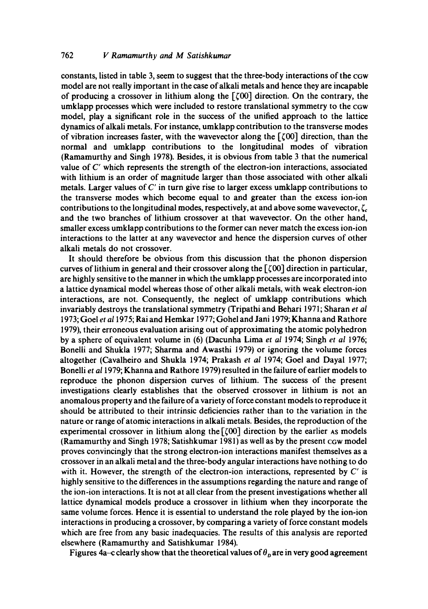constants, listed in table 3, seem to suggest that the three-body interactions of the CGW model are not really important in the case of alkali metals and hence they are incapable of producing a crossover in lithium along the  $[\zeta 00]$  direction. On the contrary, the umklapp processes which were included to restore translational symmetry to the CGW model, play a significant role in the success of the unified approach to the lattice dynamics of alkali metals. For instance, umklapp contribution to the transverse modes of vibration increases faster, with the wavevector along the  $\lceil \zeta 00 \rceil$  direction, than the normal and umklapp contributions to the longitudinal modes of vibration (Ramamurthy and Singh 1978). Besides, it is obvious from table 3 that the numerical value of  $C'$  which represents the strength of the electron-ion interactions, associated with lithium is an order of magnitude larger than those associated with other alkali metals. Larger values of C' in turn give rise to larger excess umklapp contributions to the transverse modes which become equal to and greater than the excess ion-ion contributions to the longitudinal modes, respectively, at and above some wavevector,  $\zeta_c$ and the two branches of lithium crossover at that wavevector. On the other hand, smaller excess umklapp contributions to the former can never match the excess ion-ion interactions to the latter at any wavevector and hence the dispersion curves of other alkali metals do not crossover.

It should therefore be obvious from this discussion that the phonon dispersion curves of lithium in general and their crossover along the  $\lceil \zeta(0) \rceil$  direction in particular, are highly sensitive to the manner in which the umklapp processes are incorporated into a lattice dynamical model whereas those of other alkali metals, with weak electron-ion interactions, are not. Consequently, the neglect of umklapp contributions which invariably destroys the translational symmetry (Tripathi and Behari 1971; Sharan *et al*  1973; Goei *et a11975;* Rai and Hemkar 1977; Gohel and Jani 1979; Khanna and Rathore 1979), their erroneous evaluation arising out of approximating the atomic polyhedron by a sphere of equivalent volume in (6) (Dacunha Lima *et al* 1974; Singh *et al* 1976; Bonelli and Shukla 1977; Sharma and Awasthi 1979) or ignoring the volume forces altogether (Cavalheiro and Shukla 1974; Prakash *et ai* 1974; Goel and Dayal 1977; Bonelli *et al* 1979; Khanna and Rathore 1979) resulted in the failure of earlier models to reproduce the phonon dispersion curves of lithium. The success of the present investigations clearly establishes that the observed crossover in lithium is not an anomalous property and the failure of a variety of force constant models to reproduce it should be attributed to their intrinsic deficiencies rather than to the variation in the nature or range of atomic interactions in alkali metals. Besides, the reproduction of the experimental crossover in lithium along the  $[500]$  direction by the earlier As models (Ramamurthy and Singh 1978; Satishkumar 1981) as well as by the present CGW model proves convincingly that the strong electron-ion interactions manifest themselves as a crossover in an alkali metal and the threc-body angular interactions have nothing to do with it. However, the strength of the electron-ion interactions, represented by  $C'$  is highly sensitive to the differences in the assumptions regarding the nature and range of the ion-ion interactions. It is not at all clear from the present investigations whether all lattice dynamical models produce a crossover in lithium when they incorporate the same volume forces. Hence it is essential to understand the role played by the ion-ion interactions in producing a crossover, by comparing a variety of force constant models which are free from any basic inadequacies. The results of this analysis are reported elsewhere (Ramamurthy and Satishkumar 1984).

Figures 4a–c clearly show that the theoretical values of  $\theta_n$  are in very good agreement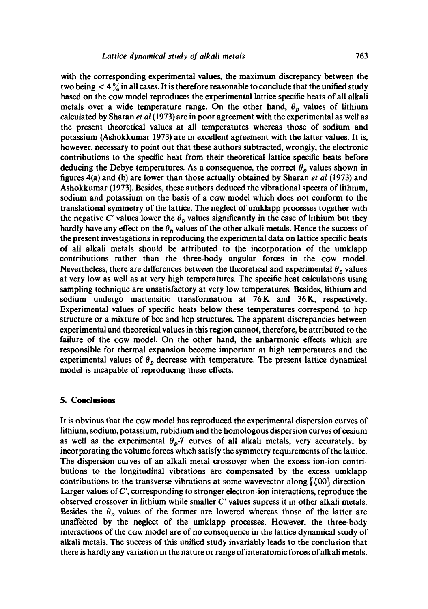with the corresponding experimental values, the maximum discrepancy between the two being  $<$  4  $\%$  in all cases. It is therefore reasonable to conclude that the unified study based on the CGw model reproduces the experimental lattice specific heats of all alkali metals over a wide temperature range. On the other hand,  $\theta_n$  values of lithium calculated by Sharan *et ai* (1973) are in poor agreement with the experimental as well as the present theoretical values at all temperatures whereas those of sodium and potassium (Ashokkumar 1973) are in excellent agreement with the latter values. It is, however, necessary to point out that these authors subtracted, wrongly, the electronic contributions to the specific heat from their theoretical lattice specific heats before deducing the Debye temperatures. As a consequence, the correct  $\theta_p$  values shown in figures 4(a) and (b) are lower than those actually obtained by Sharan *et al* (1973) and Ashokkumar (1973). Besides, these authors deduced the vibrational spectra of lithium, sodium and potassium on the basis of a cGw model which does not conform to the translational symmetry of the lattice. The neglect of umklapp processes together with the negative C' values lower the  $\theta_p$  values significantly in the case of lithium but they hardly have any effect on the  $\theta_p$  values of the other alkali metals. Hence the success of the present investigations in reproducing the experimental data on lattice specific heats of all alkali metals should be attributed to the incorporation of the umklapp contributions rather than the three-body angular forces in the cGw model. Nevertheless, there are differences between the theoretical and experimental  $\theta_p$  values at very low as well as at very high temperatures. The specific heat calculations using sampling technique are unsatisfactory at very low temperatures. Besides, lithium and sodium undergo martensitic transformation at 76K and 36K, respectively. Experimental values of specific heats below these temperatures correspond to hcp structure or a mixture of bcc and hcp structures. The apparent discrepancies between experimental and theoretical values in this region cannot, therefore, be attributed to the failure of the ccw model. On the other hand, the anharmonic effects which are responsible for thermal expansion become important at high temperatures and the experimental values of  $\theta_{\rm p}$  decrease with temperature. The present lattice dynamical model is incapable of reproducing these effects.

## **5. Conclusions**

It is obvious that the eGw model has reproduced the experimental dispersion curves of lithium, sodium, potassium, rubidium and the homologous dispersion curves of cesium as well as the experimental  $\theta_p$ -T curves of all alkali metals, very accurately, by incorporating the volume forces which satisfy the symmetry requirements of the lattice. The dispersion curves of an alkali metal crossover when the excess ion-ion contributions to the longitudinal vibrations are compensated by the excess umklapp contributions to the transverse vibrations at some wavevector along  $\lceil \zeta 00 \rceil$  direction. Larger values of *C',* corresponding to stronger electron-ion interactions, reproduce the observed crossover in lithium while smaller C' values supress it in other alkali metals. Besides the  $\theta_p$  values of the former are lowered whereas those of the latter are unaffected by the neglect of the umklapp processes. However, the three-body interactions of the cGw model are of no consequence in the lattice dynamical study of alkali metals. The success of this unified study invariably leads to the conclusion that there is hardly any variation in the nature or range of interatomic forces of alkali metals.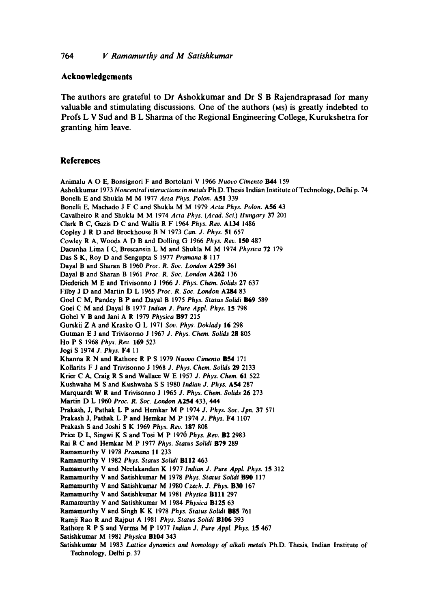# **Acknowledgements**

The authors are grateful to Dr Ashokkumar and Dr S B Rajendraprasad for many valuable and stimulating discussions. One of the authors (MS) is greatly indebted to Profs **L V** Sud and **B L** Sharma of the Regional Engineering College, Kurukshetra for **granting him leave.** 

## **References**

Animalu A O E, Bonsignori F and Bortolani V 1966 *Nuovo Cimento* B44 159 Ashokkumar 1973 *Noncentral interactions in metals* Ph.D. Thesis Indian Institute of Technology, Delhi p. 74 Bonelli E and Shukla M M 1977 *Acta Phys. Polon.* A51 339 Bonelli E, Machado J F C and Shukla M M 1979 *Acta Phys. Polon.* A56 43 Cavalheiro R and Shukla M M 1974 *Acta Phys. (Acad. Sci.) Hungary* 37 201 Clark B C, Gazis D C and Wallis R F 1964 *Phys. Rev.* A134 1486 Copley J R D and Brockhouse B N 1973 *Can. J. Phys.* 51 657 Cowley R A, Woods A D B and Dolling G 1966 *Phys. Rev.* 150 487 Dacunha Lima I C, Brescansin L M and Shukla M M 1974 *Physica* 72 179 Das S K, Roy D and Sengupta S 1977 *Pramana* 8 117 Dayal B and Sharan B 1960 *Proc. R. Soc. London* A259 361 Dayal B and Sharan B 1961 *Proc. R. Soc. London* A262 136 Diederich M E and Trivisonno J 1966 *J. Phys. Chem. Solids* 27 637 Filby J D and Martin D L 1965 *Proc. R. Soc. London* A284 83 Goel C M, Pandey B P and Dayal B 1975 *Phys. Status Solidi* B69 589 Goel C M and Dayal B 1977 *Indian J. Pure Appl. Phys.* 15 798 Gohel V B and Jani A R 1979 *Physica* B97 215 Gurskii Z A and Krasko (3 L 1971 *Soy. Phys. Doklady* 16 298 Gutman E J and Trivisonno J 1967 *J. Phys. Chem. Solids* 28 805 Ho P S 1968 *Phys. Rev.* 169 523 Jogi S 1974 *J. Phys. F4 11*  Khanna R N and Rathore R P S 1979 *Nuovo Cimento* B54 171 Kollarits F J and Trivisonno J 1968 *J. Phys. Chem. Solids* 29 2133 Krier C A, Craig R S and Wallace W E 1957 *J. Phys. Chem.* 61 522 Kushwaha M S and Kushwaha S S 1980 Indian J. Phys. A54 287 Marquardt W R and Trivisonno J 1965 *J. Phys. Chem. Solids* 26 273 Martin D L 1960 *Proc. R. Soc. London* A254 433, 444 Prakash, J, Pathak L P and Hemkar M P 1974 *J. Phys. Soc. Jpn.* 37 571 Prakash J, Pathak L P and Hemkar M P 1974 *J. Phys.* F4 1107 Prakash S and Joshi S K 1969 *Phys. Rev.* 187 808 Price D L, Singwi K S and Tosi M P 1970 *Phys. Rev.* **B2** 2983 Rai R C and Hemkar M P 1977 *Phys. Status Solidi* B79 289 Ramamurthy V 1978 *Pramana* 11 233 Ramamurthy V 1982 *Phys. Status Solidi* BII2 463 Ramamurthy V and Neelakandan K 1977 *Indian J. Pure Appl. Phys.* 15 312 Ramamurthy V and Satishkumar M 1978 *Phys. Status Solidi* Bg0 117 Ramamurthy V and Satishkumar M 1980 *Czech. J. Phys.* B30 167 Ramamurthy V and Satishkumar M 1981 *Physica* Bill 297 Ramamurthy V and Satishkumar M 1984 *Physica* B125 63 Ramamurthy V and Singh K K 1978 *Phys. Status Solidi* Bg5 761 Ramji Ran R and Rajput A 1981 *Phys. Status Solidi* BI06 393 Rathore R P S and Verma M P 1977 *Indian J. Pure Appl. Phys.* 15 467 Satishkumar M 1981 *Physica* BI04 343 Satishkumar M 1983 *Lattice dynamics and homology of alkali metals* Ph.D. Thesis, Indian Institute of

Technology, Delhi p. 37